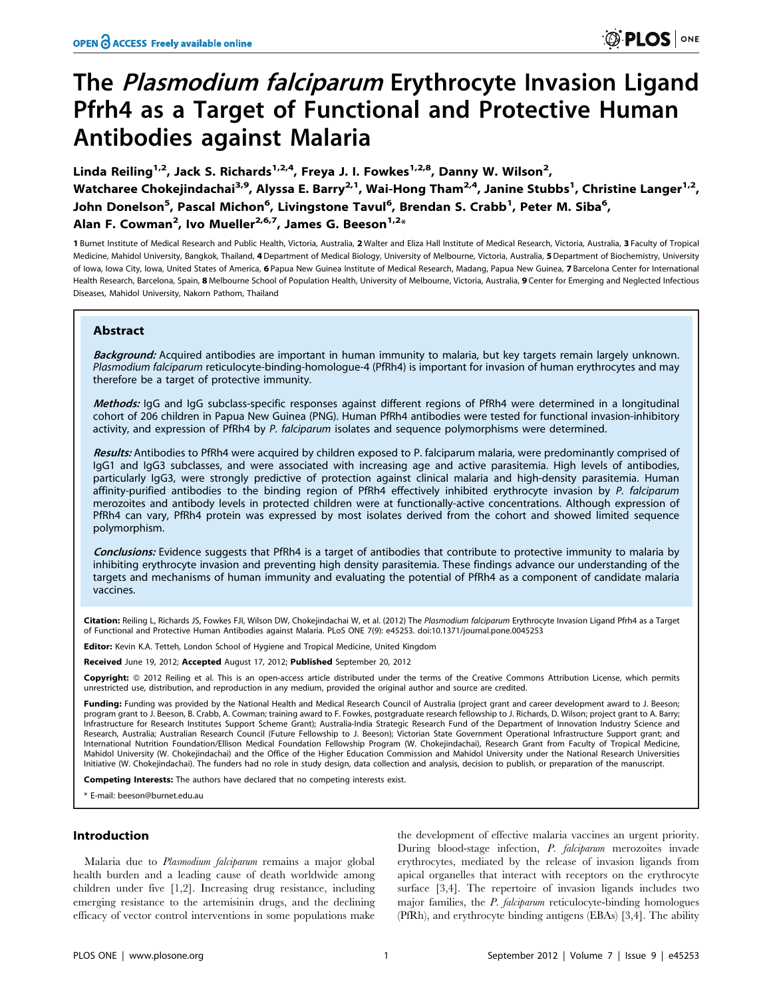# The Plasmodium falciparum Erythrocyte Invasion Ligand Pfrh4 as a Target of Functional and Protective Human Antibodies against Malaria

Linda Reiling<sup>1,2</sup>, Jack S. Richards<sup>1,2,4</sup>, Freya J. I. Fowkes<sup>1,2,8</sup>, Danny W. Wilson<sup>2</sup>, Watcharee Chokejindachai<sup>3,9</sup>, Alyssa E. Barry<sup>2,1</sup>, Wai-Hong Tham<sup>2,4</sup>, Janine Stubbs<sup>1</sup>, Christine Langer<sup>1,2</sup>, John Donelson<sup>5</sup>, Pascal Michon<sup>6</sup>, Livingstone Tavul<sup>6</sup>, Brendan S. Crabb<sup>1</sup>, Peter M. Siba<sup>6</sup>, Alan F. Cowman<sup>2</sup>, Ivo Mueller<sup>2,6,7</sup>, James G. Beeson<sup>1,2</sup>\*

1 Burnet Institute of Medical Research and Public Health, Victoria, Australia, 2 Walter and Eliza Hall Institute of Medical Research, Victoria, Australia, 3 Faculty of Tropical Medicine, Mahidol University, Bangkok, Thailand, 4 Department of Medical Biology, University of Melbourne, Victoria, Australia, 5 Department of Biochemistry, University of Iowa, Iowa City, Iowa, United States of America, 6 Papua New Guinea Institute of Medical Research, Madang, Papua New Guinea, 7 Barcelona Center for International Health Research, Barcelona, Spain, 8 Melbourne School of Population Health, University of Melbourne, Victoria, Australia, 9 Center for Emerging and Neglected Infectious Diseases, Mahidol University, Nakorn Pathom, Thailand

# Abstract

Background: Acquired antibodies are important in human immunity to malaria, but key targets remain largely unknown. Plasmodium falciparum reticulocyte-binding-homologue-4 (PfRh4) is important for invasion of human erythrocytes and may therefore be a target of protective immunity.

Methods: IgG and IgG subclass-specific responses against different regions of PfRh4 were determined in a longitudinal cohort of 206 children in Papua New Guinea (PNG). Human PfRh4 antibodies were tested for functional invasion-inhibitory activity, and expression of PfRh4 by P. falciparum isolates and sequence polymorphisms were determined.

Results: Antibodies to PfRh4 were acquired by children exposed to P. falciparum malaria, were predominantly comprised of IgG1 and IgG3 subclasses, and were associated with increasing age and active parasitemia. High levels of antibodies, particularly IgG3, were strongly predictive of protection against clinical malaria and high-density parasitemia. Human affinity-purified antibodies to the binding region of PfRh4 effectively inhibited erythrocyte invasion by P. falciparum merozoites and antibody levels in protected children were at functionally-active concentrations. Although expression of PfRh4 can vary, PfRh4 protein was expressed by most isolates derived from the cohort and showed limited sequence polymorphism.

Conclusions: Evidence suggests that PfRh4 is a target of antibodies that contribute to protective immunity to malaria by inhibiting erythrocyte invasion and preventing high density parasitemia. These findings advance our understanding of the targets and mechanisms of human immunity and evaluating the potential of PfRh4 as a component of candidate malaria vaccines.

Citation: Reiling L, Richards JS, Fowkes FJI, Wilson DW, Chokejindachai W, et al. (2012) The Plasmodium falciparum Erythrocyte Invasion Ligand Pfrh4 as a Target of Functional and Protective Human Antibodies against Malaria. PLoS ONE 7(9): e45253. doi:10.1371/journal.pone.0045253

Editor: Kevin K.A. Tetteh, London School of Hygiene and Tropical Medicine, United Kingdom

Received June 19, 2012; Accepted August 17, 2012; Published September 20, 2012

Copyright: © 2012 Reiling et al. This is an open-access article distributed under the terms of the Creative Commons Attribution License, which permits unrestricted use, distribution, and reproduction in any medium, provided the original author and source are credited.

Funding: Funding was provided by the National Health and Medical Research Council of Australia (project grant and career development award to J. Beeson; program grant to J. Beeson, B. Crabb, A. Cowman; training award to F. Fowkes, postgraduate research fellowship to J. Richards, D. Wilson; project grant to A. Barry; Infrastructure for Research Institutes Support Scheme Grant); Australia-India Strategic Research Fund of the Department of Innovation Industry Science and Research, Australia; Australian Research Council (Future Fellowship to J. Beeson); Victorian State Government Operational Infrastructure Support grant; and International Nutrition Foundation/Ellison Medical Foundation Fellowship Program (W. Chokejindachai), Research Grant from Faculty of Tropical Medicine, Mahidol University (W. Chokejindachai) and the Office of the Higher Education Commission and Mahidol University under the National Research Universities Initiative (W. Chokejindachai). The funders had no role in study design, data collection and analysis, decision to publish, or preparation of the manuscript.

Competing Interests: The authors have declared that no competing interests exist.

\* E-mail: beeson@burnet.edu.au

## Introduction

Malaria due to Plasmodium falciparum remains a major global health burden and a leading cause of death worldwide among children under five [1,2]. Increasing drug resistance, including emerging resistance to the artemisinin drugs, and the declining efficacy of vector control interventions in some populations make

the development of effective malaria vaccines an urgent priority. During blood-stage infection, P. falciparum merozoites invade erythrocytes, mediated by the release of invasion ligands from apical organelles that interact with receptors on the erythrocyte surface [3,4]. The repertoire of invasion ligands includes two major families, the P. falciparum reticulocyte-binding homologues (PfRh), and erythrocyte binding antigens (EBAs) [3,4]. The ability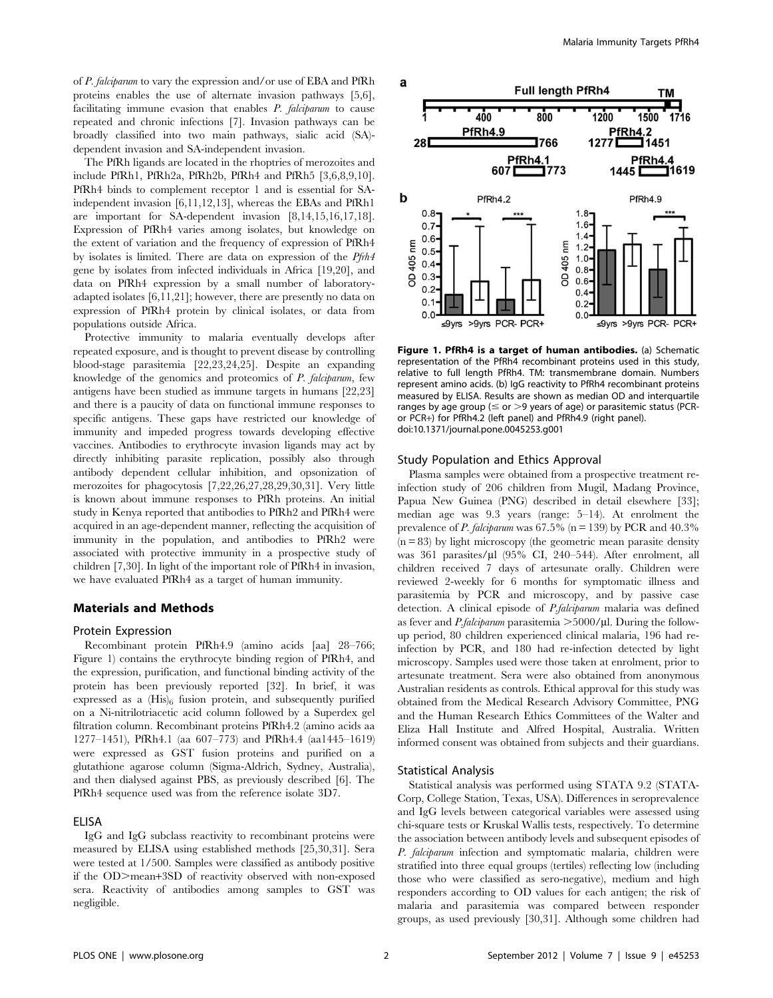of P. falciparum to vary the expression and/or use of EBA and PfRh proteins enables the use of alternate invasion pathways [5,6], facilitating immune evasion that enables P. falciparum to cause repeated and chronic infections [7]. Invasion pathways can be broadly classified into two main pathways, sialic acid (SA) dependent invasion and SA-independent invasion.

The PfRh ligands are located in the rhoptries of merozoites and include PfRh1, PfRh2a, PfRh2b, PfRh4 and PfRh5 [3,6,8,9,10]. PfRh4 binds to complement receptor 1 and is essential for SAindependent invasion [6,11,12,13], whereas the EBAs and PfRh1 are important for SA-dependent invasion [8,14,15,16,17,18]. Expression of PfRh4 varies among isolates, but knowledge on the extent of variation and the frequency of expression of PfRh4 by isolates is limited. There are data on expression of the Pfrh4 gene by isolates from infected individuals in Africa [19,20], and data on PfRh4 expression by a small number of laboratoryadapted isolates [6,11,21]; however, there are presently no data on expression of PfRh4 protein by clinical isolates, or data from populations outside Africa.

Protective immunity to malaria eventually develops after repeated exposure, and is thought to prevent disease by controlling blood-stage parasitemia [22,23,24,25]. Despite an expanding knowledge of the genomics and proteomics of P. falciparum, few antigens have been studied as immune targets in humans [22,23] and there is a paucity of data on functional immune responses to specific antigens. These gaps have restricted our knowledge of immunity and impeded progress towards developing effective vaccines. Antibodies to erythrocyte invasion ligands may act by directly inhibiting parasite replication, possibly also through antibody dependent cellular inhibition, and opsonization of merozoites for phagocytosis [7,22,26,27,28,29,30,31]. Very little is known about immune responses to PfRh proteins. An initial study in Kenya reported that antibodies to PfRh2 and PfRh4 were acquired in an age-dependent manner, reflecting the acquisition of immunity in the population, and antibodies to PfRh2 were associated with protective immunity in a prospective study of children [7,30]. In light of the important role of PfRh4 in invasion, we have evaluated PfRh4 as a target of human immunity.

## Materials and Methods

## Protein Expression

Recombinant protein PfRh4.9 (amino acids [aa] 28–766; Figure 1) contains the erythrocyte binding region of PfRh4, and the expression, purification, and functional binding activity of the protein has been previously reported [32]. In brief, it was expressed as a  $(His)_6$  fusion protein, and subsequently purified on a Ni-nitrilotriacetic acid column followed by a Superdex gel filtration column. Recombinant proteins PfRh4.2 (amino acids aa 1277–1451), PfRh4.1 (aa 607–773) and PfRh4.4 (aa1445–1619) were expressed as GST fusion proteins and purified on a glutathione agarose column (Sigma-Aldrich, Sydney, Australia), and then dialysed against PBS, as previously described [6]. The PfRh4 sequence used was from the reference isolate 3D7.

#### ELISA

IgG and IgG subclass reactivity to recombinant proteins were measured by ELISA using established methods [25,30,31]. Sera were tested at 1/500. Samples were classified as antibody positive if the OD>mean+3SD of reactivity observed with non-exposed sera. Reactivity of antibodies among samples to GST was negligible.



Figure 1. PfRh4 is a target of human antibodies. (a) Schematic representation of the PfRh4 recombinant proteins used in this study, relative to full length PfRh4. TM: transmembrane domain. Numbers represent amino acids. (b) IgG reactivity to PfRh4 recombinant proteins measured by ELISA. Results are shown as median OD and interquartile ranges by age group ( $\leq$  or  $>$ 9 years of age) or parasitemic status (PCRor PCR+) for PfRh4.2 (left panel) and PfRh4.9 (right panel). doi:10.1371/journal.pone.0045253.g001

#### Study Population and Ethics Approval

Plasma samples were obtained from a prospective treatment reinfection study of 206 children from Mugil, Madang Province, Papua New Guinea (PNG) described in detail elsewhere [33]; median age was 9.3 years (range: 5–14). At enrolment the prevalence of P. falciparum was  $67.5\%$  (n = 139) by PCR and  $40.3\%$  $(n = 83)$  by light microscopy (the geometric mean parasite density was 361 parasites/ $\mu$ l (95% CI, 240–544). After enrolment, all children received 7 days of artesunate orally. Children were reviewed 2-weekly for 6 months for symptomatic illness and parasitemia by PCR and microscopy, and by passive case detection. A clinical episode of P.falciparum malaria was defined as fever and *P.falciparum* parasitemia  $>$  5000/ $\mu$ l. During the followup period, 80 children experienced clinical malaria, 196 had reinfection by PCR, and 180 had re-infection detected by light microscopy. Samples used were those taken at enrolment, prior to artesunate treatment. Sera were also obtained from anonymous Australian residents as controls. Ethical approval for this study was obtained from the Medical Research Advisory Committee, PNG and the Human Research Ethics Committees of the Walter and Eliza Hall Institute and Alfred Hospital, Australia. Written informed consent was obtained from subjects and their guardians.

#### Statistical Analysis

Statistical analysis was performed using STATA 9.2 (STATA-Corp, College Station, Texas, USA). Differences in seroprevalence and IgG levels between categorical variables were assessed using chi-square tests or Kruskal Wallis tests, respectively. To determine the association between antibody levels and subsequent episodes of P. falciparum infection and symptomatic malaria, children were stratified into three equal groups (tertiles) reflecting low (including those who were classified as sero-negative), medium and high responders according to OD values for each antigen; the risk of malaria and parasitemia was compared between responder groups, as used previously [30,31]. Although some children had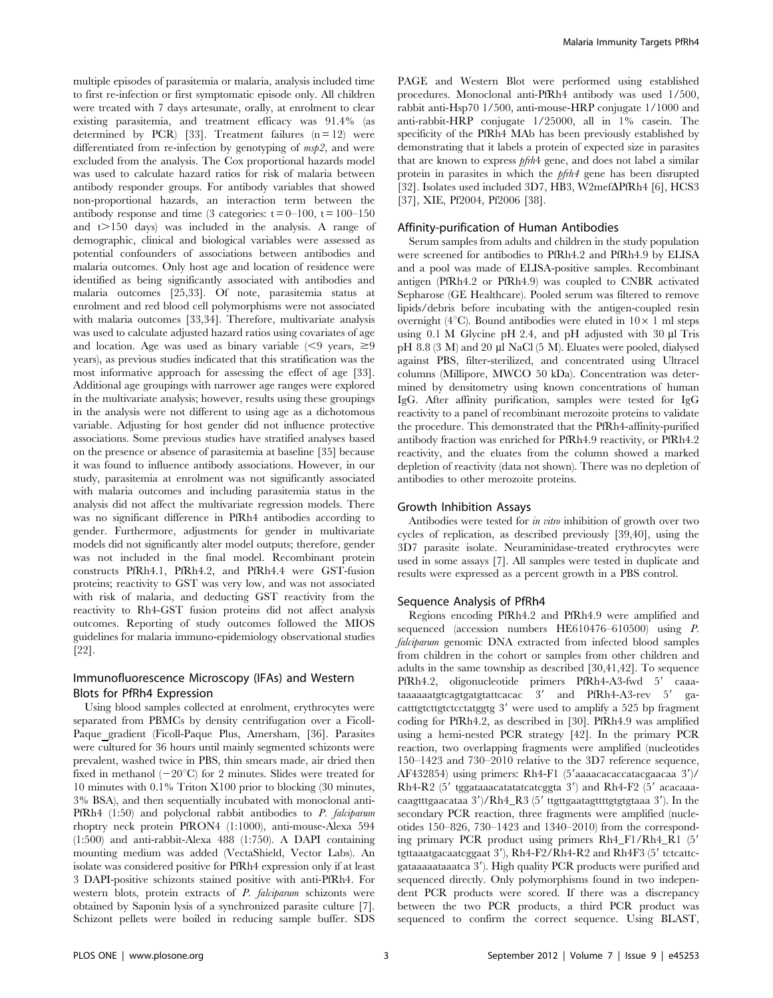multiple episodes of parasitemia or malaria, analysis included time to first re-infection or first symptomatic episode only. All children were treated with 7 days artesunate, orally, at enrolment to clear existing parasitemia, and treatment efficacy was 91.4% (as determined by PCR) [33]. Treatment failures  $(n = 12)$  were differentiated from re-infection by genotyping of  $msp2$ , and were excluded from the analysis. The Cox proportional hazards model was used to calculate hazard ratios for risk of malaria between antibody responder groups. For antibody variables that showed non-proportional hazards, an interaction term between the antibody response and time (3 categories:  $t = 0-100$ ,  $t = 100-150$ and  $t > 150$  days) was included in the analysis. A range of demographic, clinical and biological variables were assessed as potential confounders of associations between antibodies and malaria outcomes. Only host age and location of residence were identified as being significantly associated with antibodies and malaria outcomes [25,33]. Of note, parasitemia status at enrolment and red blood cell polymorphisms were not associated with malaria outcomes [33,34]. Therefore, multivariate analysis was used to calculate adjusted hazard ratios using covariates of age and location. Age was used as binary variable  $\leq 9$  years,  $\geq 9$ years), as previous studies indicated that this stratification was the most informative approach for assessing the effect of age [33]. Additional age groupings with narrower age ranges were explored in the multivariate analysis; however, results using these groupings in the analysis were not different to using age as a dichotomous variable. Adjusting for host gender did not influence protective associations. Some previous studies have stratified analyses based on the presence or absence of parasitemia at baseline [35] because it was found to influence antibody associations. However, in our study, parasitemia at enrolment was not significantly associated with malaria outcomes and including parasitemia status in the analysis did not affect the multivariate regression models. There was no significant difference in PfRh4 antibodies according to gender. Furthermore, adjustments for gender in multivariate models did not significantly alter model outputs; therefore, gender was not included in the final model. Recombinant protein constructs PfRh4.1, PfRh4.2, and PfRh4.4 were GST-fusion proteins; reactivity to GST was very low, and was not associated with risk of malaria, and deducting GST reactivity from the reactivity to Rh4-GST fusion proteins did not affect analysis outcomes. Reporting of study outcomes followed the MIOS guidelines for malaria immuno-epidemiology observational studies [22].

# Immunofluorescence Microscopy (IFAs) and Western Blots for PfRh4 Expression

Using blood samples collected at enrolment, erythrocytes were separated from PBMCs by density centrifugation over a Ficoll-Paque gradient (Ficoll-Paque Plus, Amersham, [36]. Parasites were cultured for 36 hours until mainly segmented schizonts were prevalent, washed twice in PBS, thin smears made, air dried then fixed in methanol  $(-20^{\circ}C)$  for 2 minutes. Slides were treated for 10 minutes with 0.1% Triton X100 prior to blocking (30 minutes, 3% BSA), and then sequentially incubated with monoclonal anti-PfRh4 (1:50) and polyclonal rabbit antibodies to P. falciparum rhoptry neck protein PfRON4 (1:1000), anti-mouse-Alexa 594 (1:500) and anti-rabbit-Alexa 488 (1:750). A DAPI containing mounting medium was added (VectaShield, Vector Labs). An isolate was considered positive for PfRh4 expression only if at least 3 DAPI-positive schizonts stained positive with anti-PfRh4. For western blots, protein extracts of P. falciparum schizonts were obtained by Saponin lysis of a synchronized parasite culture [7]. Schizont pellets were boiled in reducing sample buffer. SDS

PAGE and Western Blot were performed using established procedures. Monoclonal anti-PfRh4 antibody was used 1/500, rabbit anti-Hsp70 1/500, anti-mouse-HRP conjugate 1/1000 and anti-rabbit-HRP conjugate 1/25000, all in 1% casein. The specificity of the PfRh4 MAb has been previously established by demonstrating that it labels a protein of expected size in parasites that are known to express pfrh4 gene, and does not label a similar protein in parasites in which the pfrh4 gene has been disrupted [32]. Isolates used included 3D7, HB3, W2mef $\Delta$ PfRh4 [6], HCS3 [37], XIE, Pf2004, Pf2006 [38].

#### Affinity-purification of Human Antibodies

Serum samples from adults and children in the study population were screened for antibodies to PfRh4.2 and PfRh4.9 by ELISA and a pool was made of ELISA-positive samples. Recombinant antigen (PfRh4.2 or PfRh4.9) was coupled to CNBR activated Sepharose (GE Healthcare). Pooled serum was filtered to remove lipids/debris before incubating with the antigen-coupled resin overnight (4 $^{\circ}$ C). Bound antibodies were eluted in  $10\times1$  ml steps using  $0.1$  M Glycine pH 2.4, and pH adjusted with  $30 \mu$ l Tris pH  $8.8$  (3 M) and  $20 \mu$ l NaCl (5 M). Eluates were pooled, dialysed against PBS, filter-sterilized, and concentrated using Ultracel columns (Millipore, MWCO 50 kDa). Concentration was determined by densitometry using known concentrations of human IgG. After affinity purification, samples were tested for IgG reactivity to a panel of recombinant merozoite proteins to validate the procedure. This demonstrated that the PfRh4-affinity-purified antibody fraction was enriched for PfRh4.9 reactivity, or PfRh4.2 reactivity, and the eluates from the column showed a marked depletion of reactivity (data not shown). There was no depletion of antibodies to other merozoite proteins.

#### Growth Inhibition Assays

Antibodies were tested for in vitro inhibition of growth over two cycles of replication, as described previously [39,40], using the 3D7 parasite isolate. Neuraminidase-treated erythrocytes were used in some assays [7]. All samples were tested in duplicate and results were expressed as a percent growth in a PBS control.

#### Sequence Analysis of PfRh4

Regions encoding PfRh4.2 and PfRh4.9 were amplified and sequenced (accession numbers HE610476–610500) using P. falciparum genomic DNA extracted from infected blood samples from children in the cohort or samples from other children and adults in the same township as described [30,41,42]. To sequence PfRh4.2, oligonucleotide primers PfRh4-A3-fwd 5' caaataaaaaatgtcagtgatgtattcacac  $3'$  and PfRh4-A3-rev  $5'$  gacatttgtcttgtctcctatggtg 3' were used to amplify a 525 bp fragment coding for PfRh4.2, as described in [30]. PfRh4.9 was amplified using a hemi-nested PCR strategy [42]. In the primary PCR reaction, two overlapping fragments were amplified (nucleotides 150–1423 and 730–2010 relative to the 3D7 reference sequence, AF432854) using primers: Rh4-F1 (5'aaaacacaccatacgaacaa 3')/ Rh4-R2  $(5'$  tggataaacatatatcatcggta 3') and Rh4-F2  $(5'$  acacaaacaagtttgaacataa  $3'/Rh4_R3$  (5' ttgttgaatagttttgtgtgtaaa 3'). In the secondary PCR reaction, three fragments were amplified (nucleotides 150–826, 730–1423 and 1340–2010) from the corresponding primary PCR product using primers Rh4\_F1/Rh4\_R1 (5' tgttaaatgacaatcggaat  $3'$ ), Rh4-F2/Rh4-R2 and Rh4F3 ( $5'$  tctcattcgataaaaataaatca 3'). High quality PCR products were purified and sequenced directly. Only polymorphisms found in two independent PCR products were scored. If there was a discrepancy between the two PCR products, a third PCR product was sequenced to confirm the correct sequence. Using BLAST,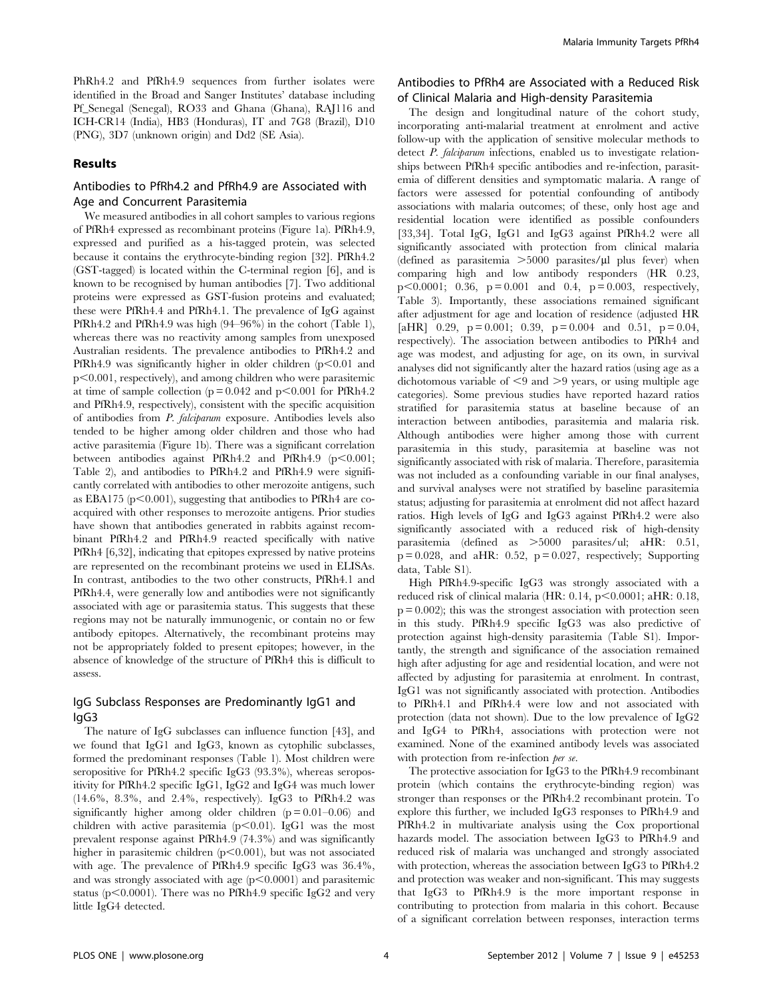PhRh4.2 and PfRh4.9 sequences from further isolates were identified in the Broad and Sanger Institutes' database including Pf\_Senegal (Senegal), RO33 and Ghana (Ghana), RAJ116 and ICH-CR14 (India), HB3 (Honduras), IT and 7G8 (Brazil), D10 (PNG), 3D7 (unknown origin) and Dd2 (SE Asia).

## Results

# Antibodies to PfRh4.2 and PfRh4.9 are Associated with Age and Concurrent Parasitemia

We measured antibodies in all cohort samples to various regions of PfRh4 expressed as recombinant proteins (Figure 1a). PfRh4.9, expressed and purified as a his-tagged protein, was selected because it contains the erythrocyte-binding region [32]. PfRh4.2 (GST-tagged) is located within the C-terminal region [6], and is known to be recognised by human antibodies [7]. Two additional proteins were expressed as GST-fusion proteins and evaluated; these were PfRh4.4 and PfRh4.1. The prevalence of IgG against PfRh4.2 and PfRh4.9 was high (94–96%) in the cohort (Table 1), whereas there was no reactivity among samples from unexposed Australian residents. The prevalence antibodies to PfRh4.2 and PfRh4.9 was significantly higher in older children  $(p<0.01$  and  $p<0.001$ , respectively), and among children who were parasitemic at time of sample collection ( $p = 0.042$  and  $p < 0.001$  for PfRh4.2 and PfRh4.9, respectively), consistent with the specific acquisition of antibodies from P. falciparum exposure. Antibodies levels also tended to be higher among older children and those who had active parasitemia (Figure 1b). There was a significant correlation between antibodies against PfRh4.2 and PfRh4.9 ( $p$ <0.001; Table 2), and antibodies to PfRh4.2 and PfRh4.9 were significantly correlated with antibodies to other merozoite antigens, such as EBA175 ( $p<0.001$ ), suggesting that antibodies to PfRh4 are coacquired with other responses to merozoite antigens. Prior studies have shown that antibodies generated in rabbits against recombinant PfRh4.2 and PfRh4.9 reacted specifically with native PfRh4 [6,32], indicating that epitopes expressed by native proteins are represented on the recombinant proteins we used in ELISAs. In contrast, antibodies to the two other constructs, PfRh4.1 and PfRh4.4, were generally low and antibodies were not significantly associated with age or parasitemia status. This suggests that these regions may not be naturally immunogenic, or contain no or few antibody epitopes. Alternatively, the recombinant proteins may not be appropriately folded to present epitopes; however, in the absence of knowledge of the structure of PfRh4 this is difficult to assess.

# IgG Subclass Responses are Predominantly IgG1 and IgG3

The nature of IgG subclasses can influence function [43], and we found that IgG1 and IgG3, known as cytophilic subclasses, formed the predominant responses (Table 1). Most children were seropositive for PfRh4.2 specific IgG3 (93.3%), whereas seropositivity for PfRh4.2 specific IgG1, IgG2 and IgG4 was much lower (14.6%, 8.3%, and 2.4%, respectively). IgG3 to PfRh4.2 was significantly higher among older children  $(p = 0.01 - 0.06)$  and children with active parasitemia ( $p$ <0.01). IgG1 was the most prevalent response against PfRh4.9 (74.3%) and was significantly higher in parasitemic children  $(p<0.001)$ , but was not associated with age. The prevalence of PfRh4.9 specific IgG3 was 36.4%, and was strongly associated with age  $(p<0.0001)$  and parasitemic status (p $<$ 0.0001). There was no PfRh4.9 specific IgG2 and very little IgG4 detected.

# Antibodies to PfRh4 are Associated with a Reduced Risk of Clinical Malaria and High-density Parasitemia

The design and longitudinal nature of the cohort study, incorporating anti-malarial treatment at enrolment and active follow-up with the application of sensitive molecular methods to detect P. falciparum infections, enabled us to investigate relationships between PfRh4 specific antibodies and re-infection, parasitemia of different densities and symptomatic malaria. A range of factors were assessed for potential confounding of antibody associations with malaria outcomes; of these, only host age and residential location were identified as possible confounders [33,34]. Total IgG, IgG1 and IgG3 against PfRh4.2 were all significantly associated with protection from clinical malaria (defined as parasitemia  $>5000$  parasites/ $\mu$ l plus fever) when comparing high and low antibody responders (HR 0.23,  $p<0.0001$ ; 0.36,  $p=0.001$  and 0.4,  $p=0.003$ , respectively, Table 3). Importantly, these associations remained significant after adjustment for age and location of residence (adjusted HR [aHR] 0.29,  $p = 0.001$ ; 0.39,  $p = 0.004$  and 0.51,  $p = 0.04$ , respectively). The association between antibodies to PfRh4 and age was modest, and adjusting for age, on its own, in survival analyses did not significantly alter the hazard ratios (using age as a dichotomous variable of  $\leq$ 9 and  $\geq$ 9 years, or using multiple age categories). Some previous studies have reported hazard ratios stratified for parasitemia status at baseline because of an interaction between antibodies, parasitemia and malaria risk. Although antibodies were higher among those with current parasitemia in this study, parasitemia at baseline was not significantly associated with risk of malaria. Therefore, parasitemia was not included as a confounding variable in our final analyses, and survival analyses were not stratified by baseline parasitemia status; adjusting for parasitemia at enrolment did not affect hazard ratios. High levels of IgG and IgG3 against PfRh4.2 were also significantly associated with a reduced risk of high-density parasitemia (defined as  $>5000$  parasites/ul; aHR: 0.51,  $p = 0.028$ , and aHR: 0.52,  $p = 0.027$ , respectively; Supporting data, Table S1).

High PfRh4.9-specific IgG3 was strongly associated with a reduced risk of clinical malaria (HR:  $0.14$ ,  $p<0.0001$ ; aHR:  $0.18$ ,  $p = 0.002$ ; this was the strongest association with protection seen in this study. PfRh4.9 specific IgG3 was also predictive of protection against high-density parasitemia (Table S1). Importantly, the strength and significance of the association remained high after adjusting for age and residential location, and were not affected by adjusting for parasitemia at enrolment. In contrast, IgG1 was not significantly associated with protection. Antibodies to PfRh4.1 and PfRh4.4 were low and not associated with protection (data not shown). Due to the low prevalence of IgG2 and IgG4 to PfRh4, associations with protection were not examined. None of the examined antibody levels was associated with protection from re-infection per se.

The protective association for IgG3 to the PfRh4.9 recombinant protein (which contains the erythrocyte-binding region) was stronger than responses or the PfRh4.2 recombinant protein. To explore this further, we included IgG3 responses to PfRh4.9 and PfRh4.2 in multivariate analysis using the Cox proportional hazards model. The association between IgG3 to PfRh4.9 and reduced risk of malaria was unchanged and strongly associated with protection, whereas the association between IgG3 to PfRh4.2 and protection was weaker and non-significant. This may suggests that IgG3 to PfRh4.9 is the more important response in contributing to protection from malaria in this cohort. Because of a significant correlation between responses, interaction terms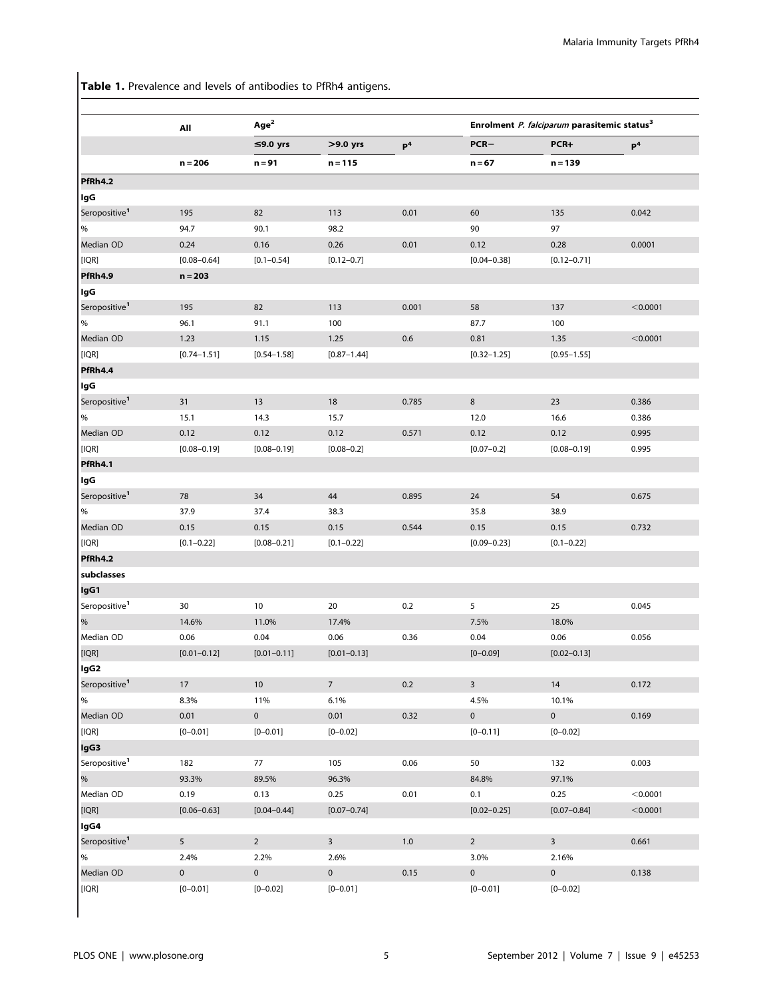Table 1. Prevalence and levels of antibodies to PfRh4 antigens.

|                           | All             | Age <sup>2</sup>    | Enrolment P. falciparum parasitemic status <sup>3</sup> |                |                 |                 |                |
|---------------------------|-----------------|---------------------|---------------------------------------------------------|----------------|-----------------|-----------------|----------------|
|                           |                 | ≤9.0 yrs            | $>9.0$ yrs                                              | P <sup>4</sup> | $PCR-$          | PCR+            | P <sup>4</sup> |
|                           | $n = 206$       | $n = 91$            | $n = 115$                                               |                | $n = 67$        | $n = 139$       |                |
| PfRh4.2                   |                 |                     |                                                         |                |                 |                 |                |
| lgG                       |                 |                     |                                                         |                |                 |                 |                |
| Seropositive <sup>1</sup> | 195             | 82                  | 113                                                     | 0.01           | 60              | 135             | 0.042          |
| $\%$                      | 94.7            | 90.1                | 98.2                                                    |                | 90              | 97              |                |
| Median OD                 | 0.24            | 0.16                | 0.26                                                    | 0.01           | 0.12            | 0.28            | 0.0001         |
| [IQR]                     | $[0.08 - 0.64]$ | $[0.1 - 0.54]$      | $[0.12 - 0.7]$                                          |                | $[0.04 - 0.38]$ | $[0.12 - 0.71]$ |                |
| PfRh4.9                   | $n = 203$       |                     |                                                         |                |                 |                 |                |
| lgG                       |                 |                     |                                                         |                |                 |                 |                |
| Seropositive <sup>1</sup> | 195             | 82                  | 113                                                     | 0.001          | 58              | 137             | < 0.0001       |
| %                         | 96.1            | 91.1                | 100                                                     |                | 87.7            | 100             |                |
| Median OD                 | 1.23            | 1.15                | 1.25                                                    | 0.6            | 0.81            | 1.35            | < 0.0001       |
| [IQR]                     | $[0.74 - 1.51]$ | $[0.54 - 1.58]$     | $[0.87 - 1.44]$                                         |                | $[0.32 - 1.25]$ | $[0.95 - 1.55]$ |                |
| PfRh4.4                   |                 |                     |                                                         |                |                 |                 |                |
| lgG                       |                 |                     |                                                         |                |                 |                 |                |
| Seropositive <sup>1</sup> | 31              | 13                  | 18                                                      | 0.785          | 8               | 23              | 0.386          |
| $\%$                      | 15.1            | 14.3                | 15.7                                                    |                | 12.0            | 16.6            | 0.386          |
| Median OD                 | 0.12            | 0.12                | 0.12                                                    | 0.571          | 0.12            | 0.12            | 0.995          |
| [IQR]                     | $[0.08 - 0.19]$ | $[0.08 - 0.19]$     | $[0.08 - 0.2]$                                          |                | $[0.07 - 0.2]$  | $[0.08 - 0.19]$ | 0.995          |
| PfRh4.1                   |                 |                     |                                                         |                |                 |                 |                |
| lgG                       |                 |                     |                                                         |                |                 |                 |                |
| Seropositive <sup>1</sup> | 78              | 34                  | 44                                                      | 0.895          | 24              | 54              | 0.675          |
| $\%$                      | 37.9            | 37.4                | 38.3                                                    |                | 35.8            | 38.9            |                |
| Median OD                 | 0.15            | 0.15                | 0.15                                                    | 0.544          | 0.15            | 0.15            | 0.732          |
| [IQR]                     | $[0.1 - 0.22]$  | $[0.08 - 0.21]$     | $[0.1 - 0.22]$                                          |                | $[0.09 - 0.23]$ | $[0.1 - 0.22]$  |                |
| PfRh4.2                   |                 |                     |                                                         |                |                 |                 |                |
| subclasses                |                 |                     |                                                         |                |                 |                 |                |
| IgG1                      |                 |                     |                                                         |                |                 |                 |                |
| Seropositive <sup>1</sup> | 30              | 10                  | 20                                                      | 0.2            | 5               | 25              | 0.045          |
| $\%$                      | 14.6%           | 11.0%               | 17.4%                                                   |                | 7.5%            | 18.0%           |                |
| Median OD                 | 0.06            | 0.04                | 0.06                                                    | 0.36           | 0.04            | 0.06            | 0.056          |
| [IQR]                     | $[0.01 - 0.12]$ | $[0.01 - 0.11]$     | $[0.01 - 0.13]$                                         |                | $[0 - 0.09]$    | $[0.02 - 0.13]$ |                |
| lgG2                      |                 |                     |                                                         |                |                 |                 |                |
| Seropositive <sup>1</sup> | 17              | 10                  | $7\overline{ }$                                         | $0.2\,$        | $\overline{3}$  | 14              | 0.172          |
| $\%$                      | 8.3%            | 11%                 | 6.1%                                                    |                | 4.5%            | 10.1%           |                |
| Median OD                 | 0.01            | $\overline{0}$      | 0.01                                                    | 0.32           | $\mathbf 0$     | $\mathbf 0$     | 0.169          |
| [IOR]                     | $[0 - 0.01]$    | $[0 - 0.01]$        | $[0 - 0.02]$                                            |                | $[0 - 0.11]$    | $[0 - 0.02]$    |                |
| lgG3                      |                 |                     |                                                         |                |                 |                 |                |
| Seropositive <sup>1</sup> | 182             | 77                  | 105                                                     | 0.06           | 50              | 132             | 0.003          |
| %                         | 93.3%           | 89.5%               | 96.3%                                                   |                | 84.8%           | 97.1%           |                |
| Median OD                 | 0.19            | 0.13                | 0.25                                                    | 0.01           | 0.1             | 0.25            | < 0.0001       |
| [IQR]                     | $[0.06 - 0.63]$ | $[0.04 - 0.44]$     | $[0.07 - 0.74]$                                         |                | $[0.02 - 0.25]$ | $[0.07 - 0.84]$ | < 0.0001       |
| lgG4                      |                 |                     |                                                         |                |                 |                 |                |
| Seropositive <sup>1</sup> | 5               | $\overline{2}$      | $\overline{3}$                                          |                | $\overline{2}$  | $\overline{3}$  |                |
| $\%$                      |                 |                     |                                                         | $1.0\,$        |                 |                 | 0.661          |
| Median OD                 | 2.4%            | 2.2%                | 2.6%                                                    |                | 3.0%            | 2.16%           |                |
|                           | $\pmb{0}$       | $\mathsf{O}\xspace$ | $\mathbf 0$                                             | 0.15           | $\mathbf 0$     | $\mathbf 0$     | 0.138          |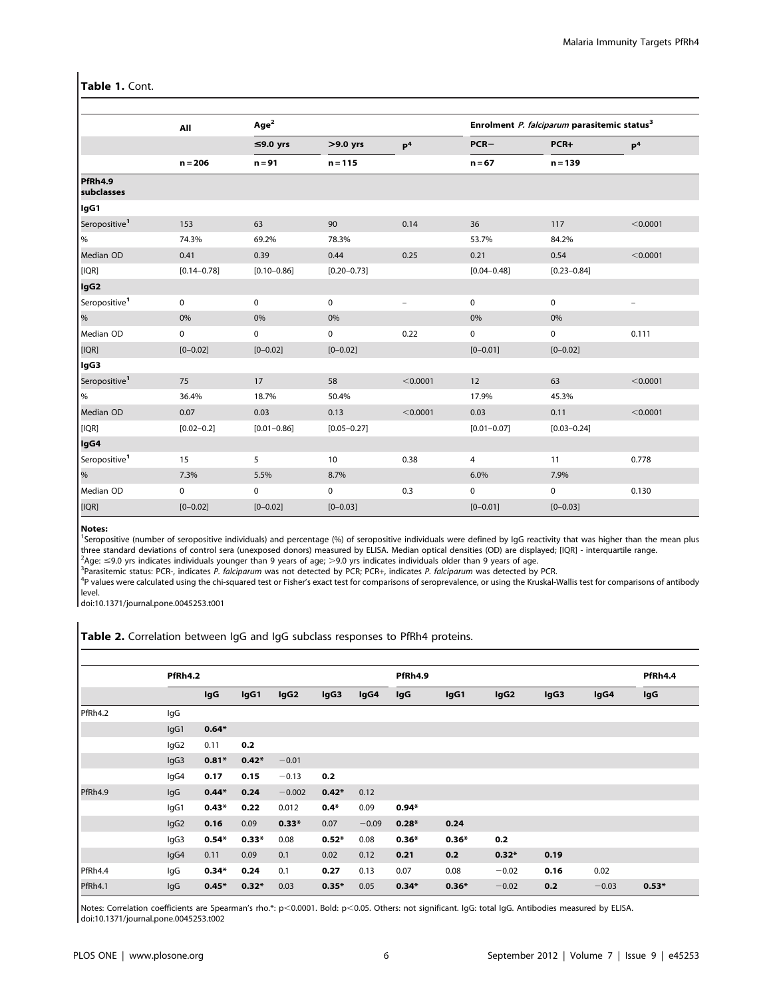## Table 1. Cont.

|                           | All             | Age <sup>2</sup> |                 |                          |                 | Enrolment P. falciparum parasitemic status <sup>3</sup> |                          |
|---------------------------|-----------------|------------------|-----------------|--------------------------|-----------------|---------------------------------------------------------|--------------------------|
|                           |                 | ≤9.0 yrs         | $>9.0$ yrs      | P <sup>4</sup>           | $PCR-$          | PCR+                                                    | P <sup>4</sup>           |
|                           | $n = 206$       | $n = 91$         | $n = 115$       |                          | $n = 67$        | $n = 139$                                               |                          |
| PfRh4.9<br>subclasses     |                 |                  |                 |                          |                 |                                                         |                          |
| lgG1                      |                 |                  |                 |                          |                 |                                                         |                          |
| Seropositive <sup>1</sup> | 153             | 63               | 90              | 0.14                     | 36              | 117                                                     | < 0.0001                 |
| $\%$                      | 74.3%           | 69.2%            | 78.3%           |                          | 53.7%           | 84.2%                                                   |                          |
| Median OD                 | 0.41            | 0.39             | 0.44            | 0.25                     | 0.21            | 0.54                                                    | < 0.0001                 |
| [IQR]                     | $[0.14 - 0.78]$ | $[0.10 - 0.86]$  | $[0.20 - 0.73]$ |                          | $[0.04 - 0.48]$ | $[0.23 - 0.84]$                                         |                          |
| lgG <sub>2</sub>          |                 |                  |                 |                          |                 |                                                         |                          |
| Seropositive <sup>1</sup> | 0               | 0                | 0               | $\overline{\phantom{0}}$ | 0               | 0                                                       | $\overline{\phantom{m}}$ |
| $\%$                      | 0%              | 0%               | 0%              |                          | 0%              | 0%                                                      |                          |
| Median OD                 | 0               | 0                | 0               | 0.22                     | 0               | 0                                                       | 0.111                    |
| [IQR]                     | $[0 - 0.02]$    | $[0 - 0.02]$     | $[0 - 0.02]$    |                          | $[0 - 0.01]$    | $[0 - 0.02]$                                            |                          |
| lgG3                      |                 |                  |                 |                          |                 |                                                         |                          |
| Seropositive <sup>1</sup> | 75              | 17               | 58              | < 0.0001                 | 12              | 63                                                      | < 0.0001                 |
| $\%$                      | 36.4%           | 18.7%            | 50.4%           |                          | 17.9%           | 45.3%                                                   |                          |
| Median OD                 | 0.07            | 0.03             | 0.13            | < 0.0001                 | 0.03            | 0.11                                                    | < 0.0001                 |
| [IQR]                     | $[0.02 - 0.2]$  | $[0.01 - 0.86]$  | $[0.05 - 0.27]$ |                          | $[0.01 - 0.07]$ | $[0.03 - 0.24]$                                         |                          |
| lgG4                      |                 |                  |                 |                          |                 |                                                         |                          |
| Seropositive <sup>1</sup> | 15              | 5                | 10              | 0.38                     | 4               | 11                                                      | 0.778                    |
| $\%$                      | 7.3%            | 5.5%             | 8.7%            |                          | 6.0%            | 7.9%                                                    |                          |
| Median OD                 | 0               | 0                | 0               | 0.3                      | 0               | 0                                                       | 0.130                    |
| [IQR]                     | $[0 - 0.02]$    | $[0 - 0.02]$     | $[0 - 0.03]$    |                          | $[0 - 0.01]$    | $[0 - 0.03]$                                            |                          |

#### Notes:

<sup>1</sup>Seropositive (number of seropositive individuals) and percentage (%) of seropositive individuals were defined by IgG reactivity that was higher than the mean plus three standard deviations of control sera (unexposed donors) measured by ELISA. Median optical densities (OD) are displayed; [IQR] - interquartile range.<br><sup>2</sup>Age: < 0.0 vrs indicates individuals vounger than 9 vears of age:

<sup>∠</sup>Age: ≤9.0 yrs indicates individuals younger than 9 years of age; >9.0 yrs indicates individuals older than 9 years of age.<br><sup>3</sup>Parasitemic status: PCP- indicates *P. folcingrum wa*s not detected by PCP: PCP+ indicates

<sup>3</sup>Parasitemic status: PCR-, indicates *P. falciparum* was not detected by PCR; PCR+, indicates *P. falciparum* was detected by PCR.<br><sup>4</sup>P values were calculated using the chi squared test or Fisher's exact test for compari <sup>4</sup>P values were calculated using the chi-squared test or Fisher's exact test for comparisons of seroprevalence, or using the Kruskal-Wallis test for comparisons of antibody level.

doi:10.1371/journal.pone.0045253.t001

| Table 2. Correlation between IgG and IgG subclass responses to PfRh4 proteins. |  |  |  |
|--------------------------------------------------------------------------------|--|--|--|
|                                                                                |  |  |  |

|         | PfRh4.2          |         |         |                  |         | PfRh4.9 |         |         | PfRh4.4          |      |         |         |
|---------|------------------|---------|---------|------------------|---------|---------|---------|---------|------------------|------|---------|---------|
|         |                  | lgG     | IgG1    | lgG <sub>2</sub> | lgG3    | lgG4    | IgG     | IgG1    | lgG <sub>2</sub> | lgG3 | lgG4    | lgG     |
| PfRh4.2 | lgG              |         |         |                  |         |         |         |         |                  |      |         |         |
|         | lgG1             | $0.64*$ |         |                  |         |         |         |         |                  |      |         |         |
|         | lgG2             | 0.11    | 0.2     |                  |         |         |         |         |                  |      |         |         |
|         | lgG3             | $0.81*$ | $0.42*$ | $-0.01$          |         |         |         |         |                  |      |         |         |
|         | lgG4             | 0.17    | 0.15    | $-0.13$          | 0.2     |         |         |         |                  |      |         |         |
| PfRh4.9 | lgG              | $0.44*$ | 0.24    | $-0.002$         | $0.42*$ | 0.12    |         |         |                  |      |         |         |
|         | lgG1             | $0.43*$ | 0.22    | 0.012            | $0.4*$  | 0.09    | $0.94*$ |         |                  |      |         |         |
|         | lgG <sub>2</sub> | 0.16    | 0.09    | $0.33*$          | 0.07    | $-0.09$ | $0.28*$ | 0.24    |                  |      |         |         |
|         | lgG3             | $0.54*$ | $0.33*$ | 0.08             | $0.52*$ | 0.08    | $0.36*$ | $0.36*$ | 0.2              |      |         |         |
|         | lgG4             | 0.11    | 0.09    | 0.1              | 0.02    | 0.12    | 0.21    | 0.2     | $0.32*$          | 0.19 |         |         |
| PfRh4.4 | lgG              | $0.34*$ | 0.24    | 0.1              | 0.27    | 0.13    | 0.07    | 0.08    | $-0.02$          | 0.16 | 0.02    |         |
| PfRh4.1 | lgG              | $0.45*$ | $0.32*$ | 0.03             | $0.35*$ | 0.05    | $0.34*$ | $0.36*$ | $-0.02$          | 0.2  | $-0.03$ | $0.53*$ |

Notes: Correlation coefficients are Spearman's rho.\*: p<0.0001. Bold: p<0.05. Others: not significant. IgG: total IgG. Antibodies measured by ELISA. doi:10.1371/journal.pone.0045253.t002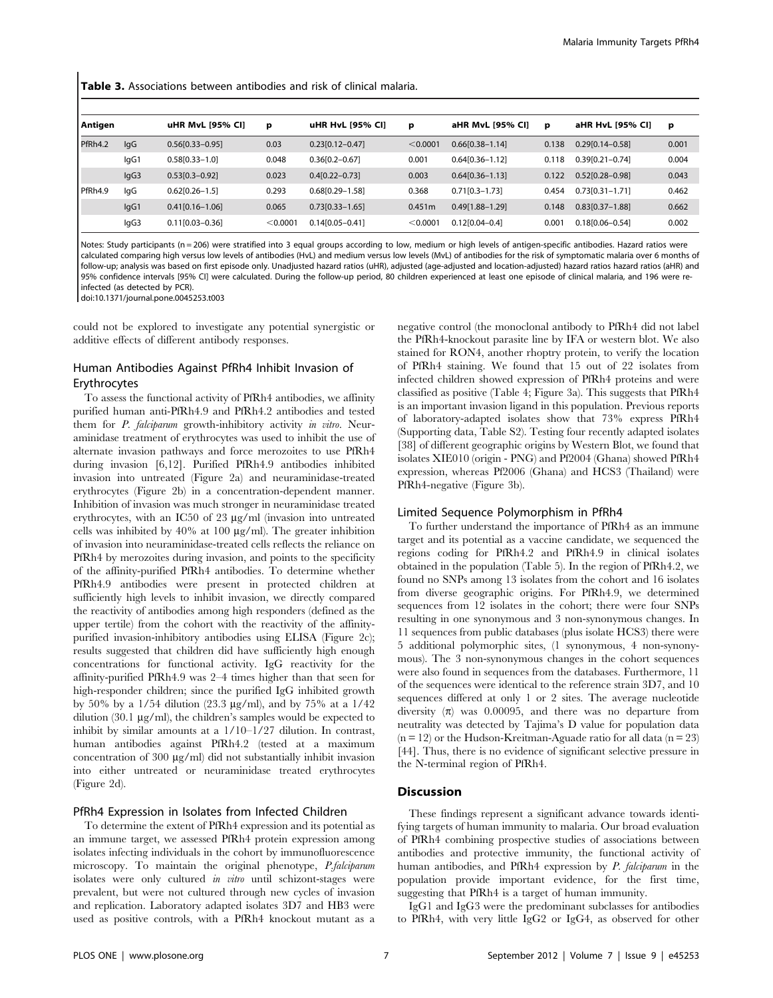Table 3. Associations between antibodies and risk of clinical malaria.

| Antigen |      | uHR MvL [95% CI]    | р        | uHR HvL [95% CI]    | p        | aHR MvL [95% CI]    | p     | aHR HvL [95% CI]    | p     |
|---------|------|---------------------|----------|---------------------|----------|---------------------|-------|---------------------|-------|
| PfRh4.2 | lgG  | $0.56[0.33 - 0.95]$ | 0.03     | $0.23[0.12 - 0.47]$ | < 0.0001 | $0.66[0.38 - 1.14]$ | 0.138 | $0.29[0.14 - 0.58]$ | 0.001 |
|         | lgG1 | $0.58[0.33 - 1.0]$  | 0.048    | $0.36[0.2 - 0.67]$  | 0.001    | $0.64[0.36 - 1.12]$ | 0.118 | 0.39[0.21-0.74]     | 0.004 |
|         | lgG3 | $0.53[0.3-0.92]$    | 0.023    | $0.4[0.22 - 0.73]$  | 0.003    | $0.64[0.36 - 1.13]$ | 0.122 | $0.52[0.28 - 0.98]$ | 0.043 |
| PfRh4.9 | lgG  | $0.62[0.26 - 1.5]$  | 0.293    | $0.68[0.29 - 1.58]$ | 0.368    | $0.71[0.3 - 1.73]$  | 0.454 | $0.73[0.31 - 1.71]$ | 0.462 |
|         | lgG1 | $0.41[0.16 - 1.06]$ | 0.065    | $0.73[0.33 - 1.65]$ | 0.451m   | $0.49[1.88 - 1.29]$ | 0.148 | $0.83[0.37 - 1.88]$ | 0.662 |
|         | lgG3 | $0.11[0.03 - 0.36]$ | < 0.0001 | $0.14$ [0.05-0.41]  | < 0.0001 | $0.12[0.04 - 0.4]$  | 0.001 | $0.18[0.06 - 0.54]$ | 0.002 |

Notes: Study participants (n = 206) were stratified into 3 equal groups according to low, medium or high levels of antigen-specific antibodies. Hazard ratios were calculated comparing high versus low levels of antibodies (HvL) and medium versus low levels (MvL) of antibodies for the risk of symptomatic malaria over 6 months of follow-up; analysis was based on first episode only. Unadjusted hazard ratios (uHR), adjusted (age-adjusted and location-adjusted) hazard ratios hazard ratios (aHR) and 95% confidence intervals [95% CI] were calculated. During the follow-up period, 80 children experienced at least one episode of clinical malaria, and 196 were reinfected (as detected by PCR).

doi:10.1371/journal.pone.0045253.t003

could not be explored to investigate any potential synergistic or additive effects of different antibody responses.

## Human Antibodies Against PfRh4 Inhibit Invasion of Erythrocytes

To assess the functional activity of PfRh4 antibodies, we affinity purified human anti-PfRh4.9 and PfRh4.2 antibodies and tested them for P. falciparum growth-inhibitory activity in vitro. Neuraminidase treatment of erythrocytes was used to inhibit the use of alternate invasion pathways and force merozoites to use PfRh4 during invasion [6,12]. Purified PfRh4.9 antibodies inhibited invasion into untreated (Figure 2a) and neuraminidase-treated erythrocytes (Figure 2b) in a concentration-dependent manner. Inhibition of invasion was much stronger in neuraminidase treated erythrocytes, with an IC50 of 23  $\mu$ g/ml (invasion into untreated cells was inhibited by  $40\%$  at 100  $\mu$ g/ml). The greater inhibition of invasion into neuraminidase-treated cells reflects the reliance on PfRh4 by merozoites during invasion, and points to the specificity of the affinity-purified PfRh4 antibodies. To determine whether PfRh4.9 antibodies were present in protected children at sufficiently high levels to inhibit invasion, we directly compared the reactivity of antibodies among high responders (defined as the upper tertile) from the cohort with the reactivity of the affinitypurified invasion-inhibitory antibodies using ELISA (Figure 2c); results suggested that children did have sufficiently high enough concentrations for functional activity. IgG reactivity for the affinity-purified PfRh4.9 was 2–4 times higher than that seen for high-responder children; since the purified IgG inhibited growth by 50% by a  $1/54$  dilution (23.3  $\mu$ g/ml), and by 75% at a 1/42 dilution (30.1  $\mu$ g/ml), the children's samples would be expected to inhibit by similar amounts at a 1/10–1/27 dilution. In contrast, human antibodies against PfRh4.2 (tested at a maximum concentration of 300  $\mu$ g/ml) did not substantially inhibit invasion into either untreated or neuraminidase treated erythrocytes (Figure 2d).

## PfRh4 Expression in Isolates from Infected Children

To determine the extent of PfRh4 expression and its potential as an immune target, we assessed PfRh4 protein expression among isolates infecting individuals in the cohort by immunofluorescence microscopy. To maintain the original phenotype, P.falciparum isolates were only cultured in vitro until schizont-stages were prevalent, but were not cultured through new cycles of invasion and replication. Laboratory adapted isolates 3D7 and HB3 were used as positive controls, with a PfRh4 knockout mutant as a negative control (the monoclonal antibody to PfRh4 did not label the PfRh4-knockout parasite line by IFA or western blot. We also stained for RON4, another rhoptry protein, to verify the location of PfRh4 staining. We found that 15 out of 22 isolates from infected children showed expression of PfRh4 proteins and were classified as positive (Table 4; Figure 3a). This suggests that PfRh4 is an important invasion ligand in this population. Previous reports of laboratory-adapted isolates show that 73% express PfRh4 (Supporting data, Table S2). Testing four recently adapted isolates [38] of different geographic origins by Western Blot, we found that isolates XIE010 (origin - PNG) and Pf2004 (Ghana) showed PfRh4 expression, whereas Pf2006 (Ghana) and HCS3 (Thailand) were PfRh4-negative (Figure 3b).

#### Limited Sequence Polymorphism in PfRh4

To further understand the importance of PfRh4 as an immune target and its potential as a vaccine candidate, we sequenced the regions coding for PfRh4.2 and PfRh4.9 in clinical isolates obtained in the population (Table 5). In the region of PfRh4.2, we found no SNPs among 13 isolates from the cohort and 16 isolates from diverse geographic origins. For PfRh4.9, we determined sequences from 12 isolates in the cohort; there were four SNPs resulting in one synonymous and 3 non-synonymous changes. In 11 sequences from public databases (plus isolate HCS3) there were 5 additional polymorphic sites, (1 synonymous, 4 non-synonymous). The 3 non-synonymous changes in the cohort sequences were also found in sequences from the databases. Furthermore, 11 of the sequences were identical to the reference strain 3D7, and 10 sequences differed at only 1 or 2 sites. The average nucleotide diversity  $(\pi)$  was 0.00095, and there was no departure from neutrality was detected by Tajima's D value for population data  $(n = 12)$  or the Hudson-Kreitman-Aguade ratio for all data  $(n = 23)$ [44]. Thus, there is no evidence of significant selective pressure in the N-terminal region of PfRh4.

# Discussion

These findings represent a significant advance towards identifying targets of human immunity to malaria. Our broad evaluation of PfRh4 combining prospective studies of associations between antibodies and protective immunity, the functional activity of human antibodies, and PfRh4 expression by P. falciparum in the population provide important evidence, for the first time, suggesting that PfRh4 is a target of human immunity.

IgG1 and IgG3 were the predominant subclasses for antibodies to PfRh4, with very little IgG2 or IgG4, as observed for other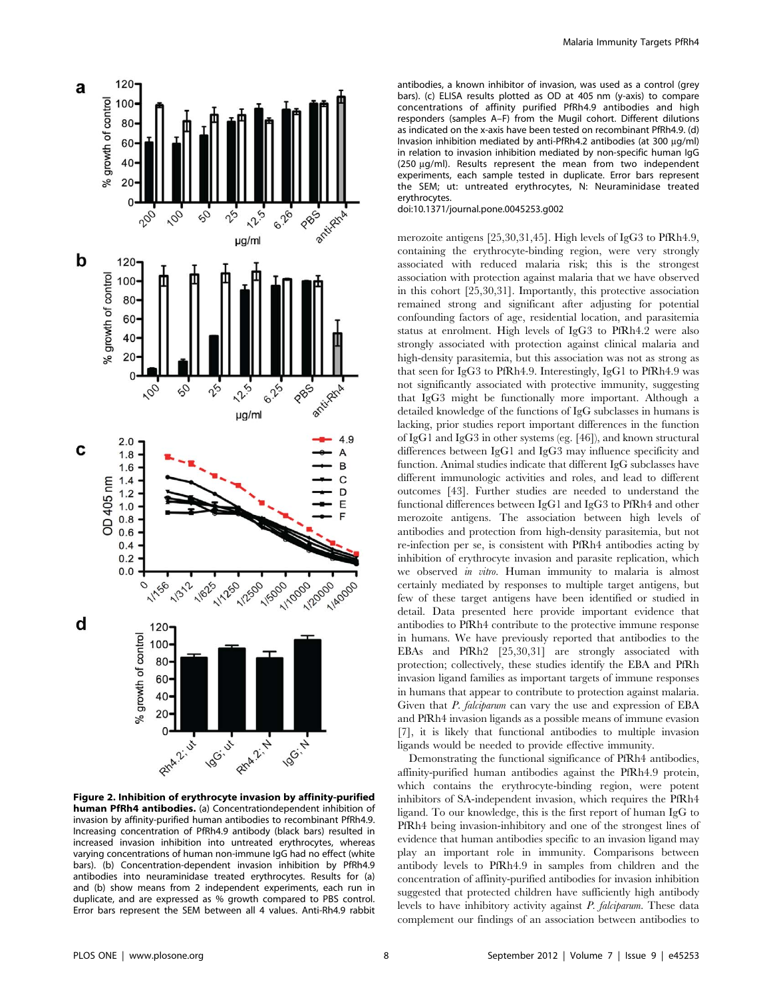

Figure 2. Inhibition of erythrocyte invasion by affinity-purified human PfRh4 antibodies. (a) Concentrationdependent inhibition of invasion by affinity-purified human antibodies to recombinant PfRh4.9. Increasing concentration of PfRh4.9 antibody (black bars) resulted in increased invasion inhibition into untreated erythrocytes, whereas varying concentrations of human non-immune IgG had no effect (white bars). (b) Concentration-dependent invasion inhibition by PfRh4.9 antibodies into neuraminidase treated erythrocytes. Results for (a) and (b) show means from 2 independent experiments, each run in duplicate, and are expressed as % growth compared to PBS control. Error bars represent the SEM between all 4 values. Anti-Rh4.9 rabbit

antibodies, a known inhibitor of invasion, was used as a control (grey bars). (c) ELISA results plotted as OD at 405 nm (y-axis) to compare concentrations of affinity purified PfRh4.9 antibodies and high responders (samples A–F) from the Mugil cohort. Different dilutions as indicated on the x-axis have been tested on recombinant PfRh4.9. (d) Invasion inhibition mediated by anti-PfRh4.2 antibodies (at 300 µg/ml) in relation to invasion inhibition mediated by non-specific human IgG (250 mg/ml). Results represent the mean from two independent experiments, each sample tested in duplicate. Error bars represent the SEM; ut: untreated erythrocytes, N: Neuraminidase treated erythrocytes.

doi:10.1371/journal.pone.0045253.g002

merozoite antigens [25,30,31,45]. High levels of IgG3 to PfRh4.9, containing the erythrocyte-binding region, were very strongly associated with reduced malaria risk; this is the strongest association with protection against malaria that we have observed in this cohort [25,30,31]. Importantly, this protective association remained strong and significant after adjusting for potential confounding factors of age, residential location, and parasitemia status at enrolment. High levels of IgG3 to PfRh4.2 were also strongly associated with protection against clinical malaria and high-density parasitemia, but this association was not as strong as that seen for IgG3 to PfRh4.9. Interestingly, IgG1 to PfRh4.9 was not significantly associated with protective immunity, suggesting that IgG3 might be functionally more important. Although a detailed knowledge of the functions of IgG subclasses in humans is lacking, prior studies report important differences in the function of IgG1 and IgG3 in other systems (eg. [46]), and known structural differences between IgG1 and IgG3 may influence specificity and function. Animal studies indicate that different IgG subclasses have different immunologic activities and roles, and lead to different outcomes [43]. Further studies are needed to understand the functional differences between IgG1 and IgG3 to PfRh4 and other merozoite antigens. The association between high levels of antibodies and protection from high-density parasitemia, but not re-infection per se, is consistent with PfRh4 antibodies acting by inhibition of erythrocyte invasion and parasite replication, which we observed in vitro. Human immunity to malaria is almost certainly mediated by responses to multiple target antigens, but few of these target antigens have been identified or studied in detail. Data presented here provide important evidence that antibodies to PfRh4 contribute to the protective immune response in humans. We have previously reported that antibodies to the EBAs and PfRh2 [25,30,31] are strongly associated with protection; collectively, these studies identify the EBA and PfRh invasion ligand families as important targets of immune responses in humans that appear to contribute to protection against malaria. Given that *P. falciparum* can vary the use and expression of EBA and PfRh4 invasion ligands as a possible means of immune evasion [7], it is likely that functional antibodies to multiple invasion ligands would be needed to provide effective immunity.

Demonstrating the functional significance of PfRh4 antibodies, affinity-purified human antibodies against the PfRh4.9 protein, which contains the erythrocyte-binding region, were potent inhibitors of SA-independent invasion, which requires the PfRh4 ligand. To our knowledge, this is the first report of human IgG to PfRh4 being invasion-inhibitory and one of the strongest lines of evidence that human antibodies specific to an invasion ligand may play an important role in immunity. Comparisons between antibody levels to PfRh4.9 in samples from children and the concentration of affinity-purified antibodies for invasion inhibition suggested that protected children have sufficiently high antibody levels to have inhibitory activity against P. falciparum. These data complement our findings of an association between antibodies to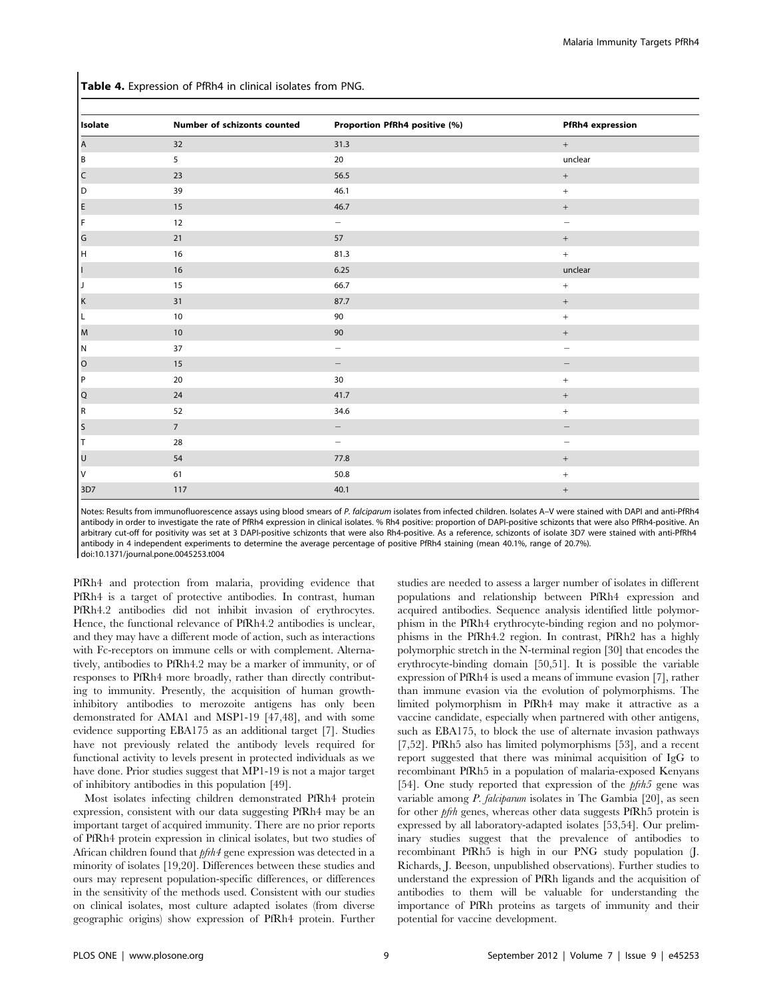Table 4. Expression of PfRh4 in clinical isolates from PNG.

| <b>Isolate</b> | Number of schizonts counted | Proportion PfRh4 positive (%) | PfRh4 expression                 |
|----------------|-----------------------------|-------------------------------|----------------------------------|
| A              | 32                          | 31.3                          | $^+$                             |
| B              | 5                           | 20                            | unclear                          |
| $\vert$ C      | 23                          | 56.5                          | $+$                              |
| O              | 39                          | 46.1                          | $\,$ + $\,$                      |
| E              | 15                          | 46.7                          | $^+$                             |
| IF.            | 12                          | $\overline{\phantom{0}}$      | -                                |
| $\vert$ G      | 21                          | 57                            | $^+$                             |
| lн             | 16                          | 81.3                          | $\,$ + $\,$                      |
| H              | 16                          | 6.25                          | unclear                          |
| Þ              | 15                          | 66.7                          | $\,$ + $\,$                      |
| $\mathsf{k}$   | 31                          | 87.7                          | $^+$                             |
| IL.            | 10                          | 90                            | $^+$                             |
| M              | 10                          | 90                            | $+$                              |
| I N            | 37                          | $\overline{\phantom{m}}$      | $\qquad \qquad -$                |
| $\circ$        | 15                          | $\overline{\phantom{0}}$      |                                  |
| │P             | 20                          | 30                            | $\! + \!\!\!\!$                  |
| Q              | 24                          | 41.7                          | $+$                              |
| R.             | 52                          | 34.6                          | $+$                              |
| s              | $7\overline{ }$             | -                             |                                  |
| Iт             | 28                          | $\overline{\phantom{0}}$      | -                                |
| l U            | 54                          | 77.8                          | $+$                              |
| I٧             | 61                          | 50.8                          | $\begin{array}{c} + \end{array}$ |
| 3D7            | 117                         | 40.1                          | $\qquad \qquad +$                |

Notes: Results from immunofluorescence assays using blood smears of P. falciparum isolates from infected children. Isolates A-V were stained with DAPI and anti-PfRh4 antibody in order to investigate the rate of PfRh4 expression in clinical isolates. % Rh4 positive: proportion of DAPI-positive schizonts that were also PfRh4-positive. An arbitrary cut-off for positivity was set at 3 DAPI-positive schizonts that were also Rh4-positive. As a reference, schizonts of isolate 3D7 were stained with anti-PfRh4 antibody in 4 independent experiments to determine the average percentage of positive PfRh4 staining (mean 40.1%, range of 20.7%). doi:10.1371/journal.pone.0045253.t004

PfRh4 and protection from malaria, providing evidence that PfRh4 is a target of protective antibodies. In contrast, human PfRh4.2 antibodies did not inhibit invasion of erythrocytes. Hence, the functional relevance of PfRh4.2 antibodies is unclear, and they may have a different mode of action, such as interactions with Fc-receptors on immune cells or with complement. Alternatively, antibodies to PfRh4.2 may be a marker of immunity, or of responses to PfRh4 more broadly, rather than directly contributing to immunity. Presently, the acquisition of human growthinhibitory antibodies to merozoite antigens has only been demonstrated for AMA1 and MSP1-19 [47,48], and with some evidence supporting EBA175 as an additional target [7]. Studies have not previously related the antibody levels required for functional activity to levels present in protected individuals as we have done. Prior studies suggest that MP1-19 is not a major target of inhibitory antibodies in this population [49].

Most isolates infecting children demonstrated PfRh4 protein expression, consistent with our data suggesting PfRh4 may be an important target of acquired immunity. There are no prior reports of PfRh4 protein expression in clinical isolates, but two studies of African children found that pfrh4 gene expression was detected in a minority of isolates [19,20]. Differences between these studies and ours may represent population-specific differences, or differences in the sensitivity of the methods used. Consistent with our studies on clinical isolates, most culture adapted isolates (from diverse geographic origins) show expression of PfRh4 protein. Further

studies are needed to assess a larger number of isolates in different populations and relationship between PfRh4 expression and acquired antibodies. Sequence analysis identified little polymorphism in the PfRh4 erythrocyte-binding region and no polymorphisms in the PfRh4.2 region. In contrast, PfRh2 has a highly polymorphic stretch in the N-terminal region [30] that encodes the erythrocyte-binding domain [50,51]. It is possible the variable expression of PfRh4 is used a means of immune evasion [7], rather than immune evasion via the evolution of polymorphisms. The limited polymorphism in PfRh4 may make it attractive as a vaccine candidate, especially when partnered with other antigens, such as EBA175, to block the use of alternate invasion pathways [7,52]. PfRh5 also has limited polymorphisms [53], and a recent report suggested that there was minimal acquisition of IgG to recombinant PfRh5 in a population of malaria-exposed Kenyans [54]. One study reported that expression of the *pfrh5* gene was variable among P. falciparum isolates in The Gambia [20], as seen for other pfrh genes, whereas other data suggests PfRh5 protein is expressed by all laboratory-adapted isolates [53,54]. Our preliminary studies suggest that the prevalence of antibodies to recombinant PfRh5 is high in our PNG study population (J. Richards, J. Beeson, unpublished observations). Further studies to understand the expression of PfRh ligands and the acquisition of antibodies to them will be valuable for understanding the importance of PfRh proteins as targets of immunity and their potential for vaccine development.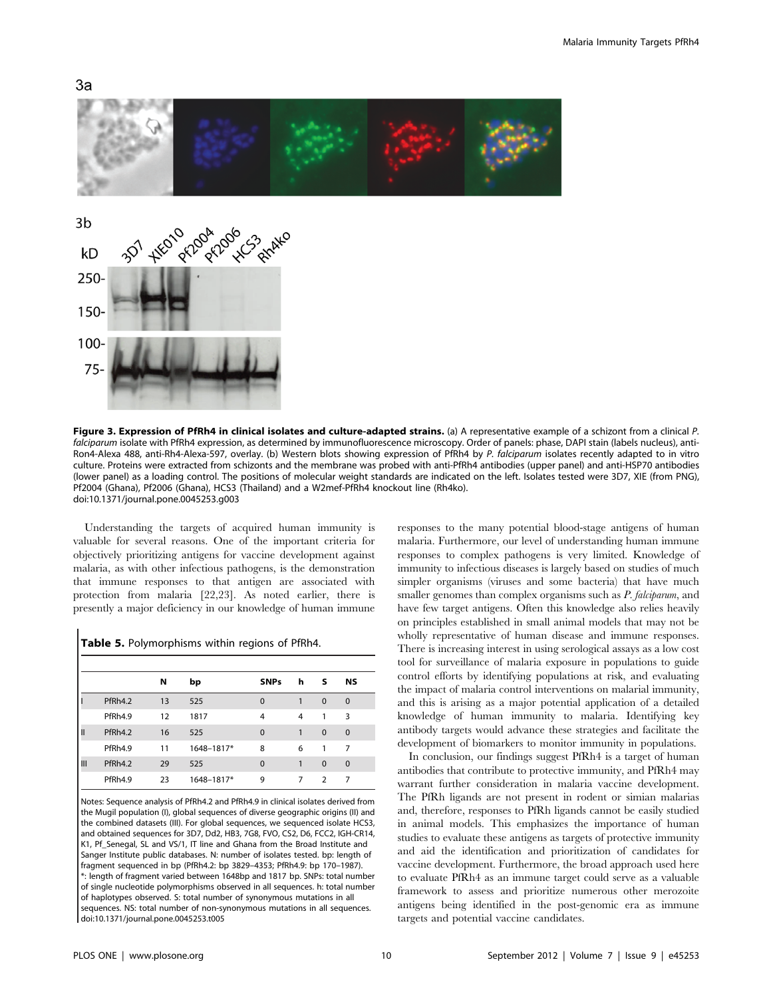





Figure 3. Expression of PfRh4 in clinical isolates and culture-adapted strains. (a) A representative example of a schizont from a clinical P. falciparum isolate with PfRh4 expression, as determined by immunofluorescence microscopy. Order of panels: phase, DAPI stain (labels nucleus), anti-Ron4-Alexa 488, anti-Rh4-Alexa-597, overlay. (b) Western blots showing expression of PfRh4 by P. falciparum isolates recently adapted to in vitro culture. Proteins were extracted from schizonts and the membrane was probed with anti-PfRh4 antibodies (upper panel) and anti-HSP70 antibodies (lower panel) as a loading control. The positions of molecular weight standards are indicated on the left. Isolates tested were 3D7, XIE (from PNG), Pf2004 (Ghana), Pf2006 (Ghana), HCS3 (Thailand) and a W2mef-PfRh4 knockout line (Rh4ko). doi:10.1371/journal.pone.0045253.g003

Understanding the targets of acquired human immunity is valuable for several reasons. One of the important criteria for objectively prioritizing antigens for vaccine development against malaria, as with other infectious pathogens, is the demonstration that immune responses to that antigen are associated with protection from malaria [22,23]. As noted earlier, there is presently a major deficiency in our knowledge of human immune

#### Table 5. Polymorphisms within regions of PfRh4.

|   |         | N  | bp         | <b>SNPs</b> | h | - S            | <b>NS</b>    |
|---|---------|----|------------|-------------|---|----------------|--------------|
|   | PfRh4.2 | 13 | 525        | $\mathbf 0$ | 1 | $\mathbf 0$    | $\mathbf 0$  |
|   | PfRh4.9 | 12 | 1817       | 4           | 4 | 1              | 3            |
| Ш | PfRh4.2 | 16 | 525        | $\mathbf 0$ | 1 | $\mathbf 0$    | $\mathbf{0}$ |
|   | PfRh4.9 | 11 | 1648-1817* | 8           | 6 | 1              | 7            |
| Ш | PfRh4.2 | 29 | 525        | $\mathbf 0$ | 1 | $\mathbf 0$    | $\mathbf 0$  |
|   | PfRh4.9 | 23 | 1648-1817* | 9           | 7 | $\overline{2}$ | 7            |

Notes: Sequence analysis of PfRh4.2 and PfRh4.9 in clinical isolates derived from the Mugil population (I), global sequences of diverse geographic origins (II) and the combined datasets (III). For global sequences, we sequenced isolate HCS3, and obtained sequences for 3D7, Dd2, HB3, 7G8, FVO, CS2, D6, FCC2, IGH-CR14, K1, Pf\_Senegal, SL and VS/1, IT line and Ghana from the Broad Institute and Sanger Institute public databases. N: number of isolates tested. bp: length of fragment sequenced in bp (PfRh4.2: bp 3829–4353; PfRh4.9: bp 170–1987). \*: length of fragment varied between 1648bp and 1817 bp. SNPs: total number of single nucleotide polymorphisms observed in all sequences. h: total number of haplotypes observed. S: total number of synonymous mutations in all sequences. NS: total number of non-synonymous mutations in all sequences. doi:10.1371/journal.pone.0045253.t005

responses to the many potential blood-stage antigens of human malaria. Furthermore, our level of understanding human immune responses to complex pathogens is very limited. Knowledge of immunity to infectious diseases is largely based on studies of much simpler organisms (viruses and some bacteria) that have much smaller genomes than complex organisms such as *P. falciparum*, and have few target antigens. Often this knowledge also relies heavily on principles established in small animal models that may not be wholly representative of human disease and immune responses. There is increasing interest in using serological assays as a low cost tool for surveillance of malaria exposure in populations to guide control efforts by identifying populations at risk, and evaluating the impact of malaria control interventions on malarial immunity, and this is arising as a major potential application of a detailed knowledge of human immunity to malaria. Identifying key antibody targets would advance these strategies and facilitate the development of biomarkers to monitor immunity in populations.

In conclusion, our findings suggest PfRh4 is a target of human antibodies that contribute to protective immunity, and PfRh4 may warrant further consideration in malaria vaccine development. The PfRh ligands are not present in rodent or simian malarias and, therefore, responses to PfRh ligands cannot be easily studied in animal models. This emphasizes the importance of human studies to evaluate these antigens as targets of protective immunity and aid the identification and prioritization of candidates for vaccine development. Furthermore, the broad approach used here to evaluate PfRh4 as an immune target could serve as a valuable framework to assess and prioritize numerous other merozoite antigens being identified in the post-genomic era as immune targets and potential vaccine candidates.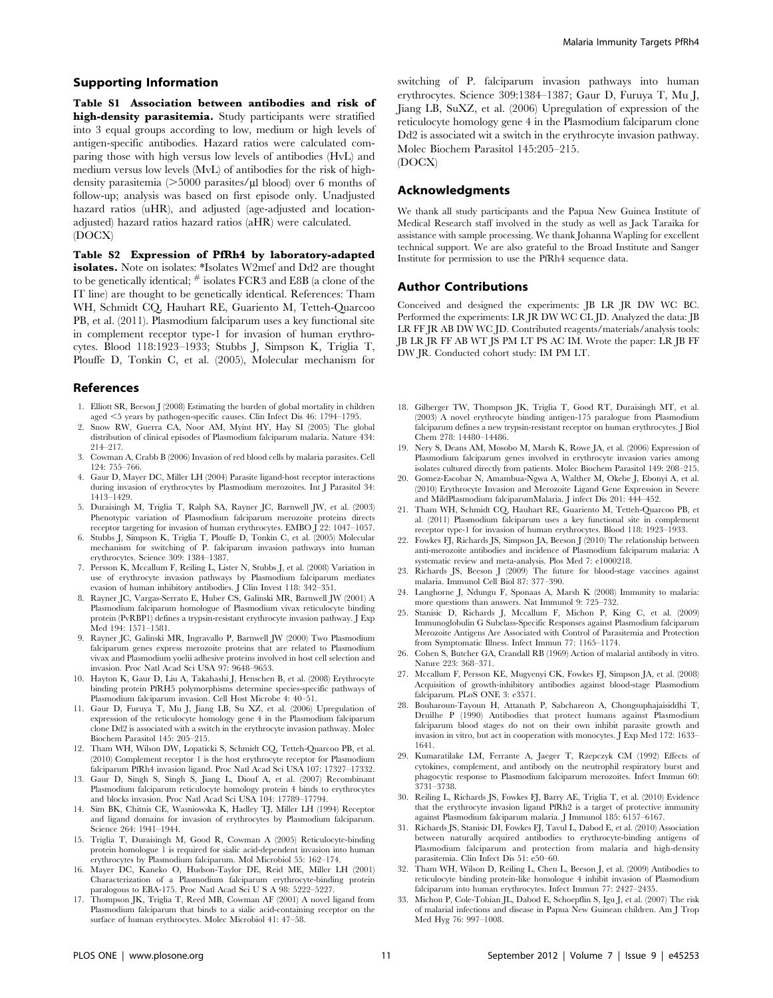## Supporting Information

Table S1 Association between antibodies and risk of high-density parasitemia. Study participants were stratified into 3 equal groups according to low, medium or high levels of antigen-specific antibodies. Hazard ratios were calculated comparing those with high versus low levels of antibodies (HvL) and medium versus low levels (MvL) of antibodies for the risk of highdensity parasitemia  $(>=5000 \text{ parasites/} \mu \text{ blood})$  over 6 months of follow-up; analysis was based on first episode only. Unadjusted hazard ratios (uHR), and adjusted (age-adjusted and locationadjusted) hazard ratios hazard ratios (aHR) were calculated. (DOCX)

Table S2 Expression of PfRh4 by laboratory-adapted isolates. Note on isolates: \*Isolates W2mef and Dd2 are thought to be genetically identical;  $\#$  isolates FCR3 and E8B (a clone of the IT line) are thought to be genetically identical. References: Tham WH, Schmidt CQ, Hauhart RE, Guariento M, Tetteh-Quarcoo PB, et al. (2011). Plasmodium falciparum uses a key functional site in complement receptor type-1 for invasion of human erythrocytes. Blood 118:1923–1933; Stubbs J, Simpson K, Triglia T, Plouffe D, Tonkin C, et al. (2005), Molecular mechanism for

#### References

- 1. Elliott SR, Beeson J (2008) Estimating the burden of global mortality in children aged <5 years by pathogen-specific causes. Clin Infect Dis 46: 1794–1795.
- 2. Snow RW, Guerra CA, Noor AM, Myint HY, Hay SI (2005) The global distribution of clinical episodes of Plasmodium falciparum malaria. Nature 434: 214–217.
- 3. Cowman A, Crabb B (2006) Invasion of red blood cells by malaria parasites. Cell 124: 755–766.
- 4. Gaur D, Mayer DC, Miller LH (2004) Parasite ligand-host receptor interactions during invasion of erythrocytes by Plasmodium merozoites. Int J Parasitol 34: 1413–1429.
- 5. Duraisingh M, Triglia T, Ralph SA, Rayner JC, Barnwell JW, et al. (2003) Phenotypic variation of Plasmodium falciparum merozoite proteins directs receptor targeting for invasion of human erythrocytes. EMBO J 22: 1047–1057.
- 6. Stubbs J, Simpson K, Triglia T, Plouffe D, Tonkin C, et al. (2005) Molecular mechanism for switching of P. falciparum invasion pathways into human erythrocytes. Science 309: 1384–1387.
- 7. Persson K, Mccallum F, Reiling L, Lister N, Stubbs J, et al. (2008) Variation in use of erythrocyte invasion pathways by Plasmodium falciparum mediates evasion of human inhibitory antibodies. J Clin Invest 118: 342–351.
- 8. Rayner JC, Vargas-Serrato E, Huber CS, Galinski MR, Barnwell JW (2001) A Plasmodium falciparum homologue of Plasmodium vivax reticulocyte binding protein (PvRBP1) defines a trypsin-resistant erythrocyte invasion pathway. J Exp Med 194: 1571–1581.
- 9. Rayner JC, Galinski MR, Ingravallo P, Barnwell JW (2000) Two Plasmodium falciparum genes express merozoite proteins that are related to Plasmodium vivax and Plasmodium yoelii adhesive proteins involved in host cell selection and invasion. Proc Natl Acad Sci USA 97: 9648–9653.
- 10. Hayton K, Gaur D, Liu A, Takahashi J, Henschen B, et al. (2008) Erythrocyte binding protein PfRH5 polymorphisms determine species-specific pathways of Plasmodium falciparum invasion. Cell Host Microbe 4: 40–51.
- 11. Gaur D, Furuya T, Mu J, Jiang LB, Su XZ, et al. (2006) Upregulation of expression of the reticulocyte homology gene 4 in the Plasmodium falciparum clone Dd2 is associated with a switch in the erythrocyte invasion pathway. Molec Biochem Parasitol 145: 205–215.
- 12. Tham WH, Wilson DW, Lopaticki S, Schmidt CQ, Tetteh-Quarcoo PB, et al. (2010) Complement receptor 1 is the host erythrocyte receptor for Plasmodium falciparum PfRh4 invasion ligand. Proc Natl Acad Sci USA 107: 17327–17332.
- 13. Gaur D, Singh S, Singh S, Jiang L, Diouf A, et al. (2007) Recombinant Plasmodium falciparum reticulocyte homology protein 4 binds to erythrocytes and blocks invasion. Proc Natl Acad Sci USA 104: 17789–17794.
- 14. Sim BK, Chitnis CE, Wasniowska K, Hadley TJ, Miller LH (1994) Receptor and ligand domains for invasion of erythrocytes by Plasmodium falciparum. Science 264: 1941–1944.
- 15. Triglia T, Duraisingh M, Good R, Cowman A (2005) Reticulocyte-binding protein homologue 1 is required for sialic acid-dependent invasion into human erythrocytes by Plasmodium falciparum. Mol Microbiol 55: 162–174.
- 16. Mayer DC, Kaneko O, Hudson-Taylor DE, Reid ME, Miller LH (2001) Characterization of a Plasmodium falciparum erythrocyte-binding protein paralogous to EBA-175. Proc Natl Acad Sci U S A 98: 5222–5227.
- 17. Thompson JK, Triglia T, Reed MB, Cowman AF (2001) A novel ligand from Plasmodium falciparum that binds to a sialic acid-containing receptor on the surface of human erythrocytes. Molec Microbiol 41: 47–58.

switching of P. falciparum invasion pathways into human erythrocytes. Science 309:1384–1387; Gaur D, Furuya T, Mu J, Jiang LB, SuXZ, et al. (2006) Upregulation of expression of the reticulocyte homology gene 4 in the Plasmodium falciparum clone Dd2 is associated wit a switch in the erythrocyte invasion pathway. Molec Biochem Parasitol 145:205–215.

(DOCX)

## Acknowledgments

We thank all study participants and the Papua New Guinea Institute of Medical Research staff involved in the study as well as Jack Taraika for assistance with sample processing. We thank Johanna Wapling for excellent technical support. We are also grateful to the Broad Institute and Sanger Institute for permission to use the PfRh4 sequence data.

#### Author Contributions

Conceived and designed the experiments: JB LR JR DW WC BC. Performed the experiments: LR JR DW WC CL JD. Analyzed the data: JB LR FF JR AB DW WC JD. Contributed reagents/materials/analysis tools: JB LR JR FF AB WT JS PM LT PS AC IM. Wrote the paper: LR JB FF DW JR. Conducted cohort study: IM PM LT.

- 18. Gilberger TW, Thompson JK, Triglia T, Good RT, Duraisingh MT, et al. (2003) A novel erythrocyte binding antigen-175 paralogue from Plasmodium falciparum defines a new trypsin-resistant receptor on human erythrocytes. J Biol Chem 278: 14480–14486.
- 19. Nery S, Deans AM, Mosobo M, Marsh K, Rowe JA, et al. (2006) Expression of Plasmodium falciparum genes involved in erythrocyte invasion varies among isolates cultured directly from patients. Molec Biochem Parasitol 149: 208–215.
- 20. Gomez-Escobar N, Amambua-Ngwa A, Walther M, Okebe J, Ebonyi A, et al. (2010) Erythrocyte Invasion and Merozoite Ligand Gene Expression in Severe and MildPlasmodium falciparumMalaria. J infect Dis 201: 444–452.
- 21. Tham WH, Schmidt CQ, Hauhart RE, Guariento M, Tetteh-Quarcoo PB, et al. (2011) Plasmodium falciparum uses a key functional site in complement receptor type-1 for invasion of human erythrocytes. Blood 118: 1923–1933.
- 22. Fowkes FJ, Richards JS, Simpson JA, Beeson J (2010) The relationship between anti-merozoite antibodies and incidence of Plasmodium falciparum malaria: A systematic review and meta-analysis. Plos Med 7: e1000218.
- 23. Richards JS, Beeson J (2009) The future for blood-stage vaccines against malaria. Immunol Cell Biol 87: 377–390.
- 24. Langhorne J, Ndungu F, Sponaas A, Marsh K (2008) Immunity to malaria: more questions than answers. Nat Immunol 9: 725–732.
- 25. Stanisic D, Richards J, Mccallum F, Michon P, King C, et al. (2009) Immunoglobulin G Subclass-Specific Responses against Plasmodium falciparum Merozoite Antigens Are Associated with Control of Parasitemia and Protection from Symptomatic Illness. Infect Immun 77: 1165–1174.
- 26. Cohen S, Butcher GA, Crandall RB (1969) Action of malarial antibody in vitro. Nature 223: 368–371.
- 27. Mccallum F, Persson KE, Mugyenyi CK, Fowkes FJ, Simpson JA, et al. (2008) Acquisition of growth-inhibitory antibodies against blood-stage Plasmodium falciparum. PLoS ONE 3: e3571.
- 28. Bouharoun-Tayoun H, Attanath P, Sabchareon A, Chongsuphajaisiddhi T, Druilhe P (1990) Antibodies that protect humans against Plasmodium falciparum blood stages do not on their own inhibit parasite growth and invasion in vitro, but act in cooperation with monocytes. J Exp Med 172: 1633– 1641.
- 29. Kumaratilake LM, Ferrante A, Jaeger T, Rzepczyk CM (1992) Effects of cytokines, complement, and antibody on the neutrophil respiratory burst and phagocytic response to Plasmodium falciparum merozoites. Infect Immun 60: 3731–3738.
- 30. Reiling L, Richards JS, Fowkes FJ, Barry AE, Triglia T, et al. (2010) Evidence that the erythrocyte invasion ligand PfRh2 is a target of protective immunity against Plasmodium falciparum malaria. J Immunol 185: 6157–6167.
- 31. Richards JS, Stanisic DI, Fowkes FJ, Tavul L, Dabod E, et al. (2010) Association between naturally acquired antibodies to erythrocyte-binding antigens of Plasmodium falciparum and protection from malaria and high-density parasitemia. Clin Infect Dis 51: e50–60.
- 32. Tham WH, Wilson D, Reiling L, Chen L, Beeson J, et al. (2009) Antibodies to reticulocyte binding protein-like homologue 4 inhibit invasion of Plasmodium falciparum into human erythrocytes. Infect Immun 77: 2427–2435.
- 33. Michon P, Cole-Tobian JL, Dabod E, Schoepflin S, Igu J, et al. (2007) The risk of malarial infections and disease in Papua New Guinean children. Am J Trop Med Hyg 76: 997–1008.